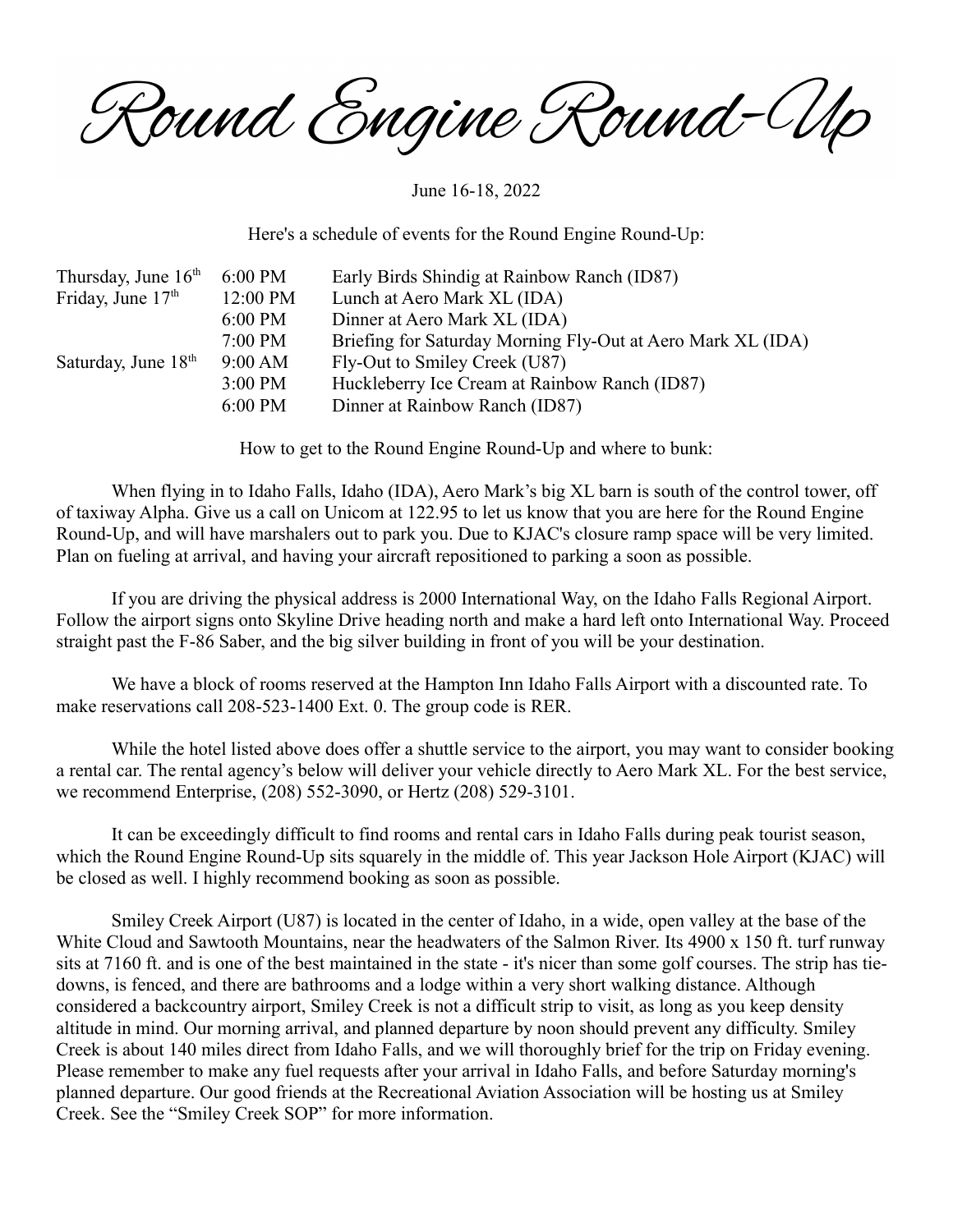Round Engine Round-Wo

June 16-18, 2022

Here's a schedule of events for the Round Engine Round-Up:

| 6:00 PM   | Early Birds Shindig at Rainbow Ranch (ID87)                 |
|-----------|-------------------------------------------------------------|
| 12:00 PM  | Lunch at Aero Mark XL (IDA)                                 |
| $6:00$ PM | Dinner at Aero Mark XL (IDA)                                |
| $7:00$ PM | Briefing for Saturday Morning Fly-Out at Aero Mark XL (IDA) |
| 9:00 AM   | Fly-Out to Smiley Creek (U87)                               |
| $3:00$ PM | Huckleberry Ice Cream at Rainbow Ranch (ID87)               |
| $6:00$ PM | Dinner at Rainbow Ranch (ID87)                              |
|           |                                                             |

How to get to the Round Engine Round-Up and where to bunk:

When flying in to Idaho Falls, Idaho (IDA), Aero Mark's big XL barn is south of the control tower, off of taxiway Alpha. Give us a call on Unicom at 122.95 to let us know that you are here for the Round Engine Round-Up, and will have marshalers out to park you. Due to KJAC's closure ramp space will be very limited. Plan on fueling at arrival, and having your aircraft repositioned to parking a soon as possible.

If you are driving the physical address is 2000 International Way, on the Idaho Falls Regional Airport. Follow the airport signs onto Skyline Drive heading north and make a hard left onto International Way. Proceed straight past the F-86 Saber, and the big silver building in front of you will be your destination.

We have a block of rooms reserved at the Hampton Inn Idaho Falls Airport with a discounted rate. To make reservations call 208-523-1400 Ext. 0. The group code is RER.

While the hotel listed above does offer a shuttle service to the airport, you may want to consider booking a rental car. The rental agency's below will deliver your vehicle directly to Aero Mark XL. For the best service, we recommend Enterprise, (208) 552-3090, or Hertz (208) 529-3101.

It can be exceedingly difficult to find rooms and rental cars in Idaho Falls during peak tourist season, which the Round Engine Round-Up sits squarely in the middle of. This year Jackson Hole Airport (KJAC) will be closed as well. I highly recommend booking as soon as possible.

Smiley Creek Airport (U87) is located in the center of Idaho, in a wide, open valley at the base of the White Cloud and Sawtooth Mountains, near the headwaters of the Salmon River. Its 4900 x 150 ft. turf runway sits at 7160 ft. and is one of the best maintained in the state - it's nicer than some golf courses. The strip has tiedowns, is fenced, and there are bathrooms and a lodge within a very short walking distance. Although considered a backcountry airport, Smiley Creek is not a difficult strip to visit, as long as you keep density altitude in mind. Our morning arrival, and planned departure by noon should prevent any difficulty. Smiley Creek is about 140 miles direct from Idaho Falls, and we will thoroughly brief for the trip on Friday evening. Please remember to make any fuel requests after your arrival in Idaho Falls, and before Saturday morning's planned departure. Our good friends at the Recreational Aviation Association will be hosting us at Smiley Creek. See the "Smiley Creek SOP" for more information.